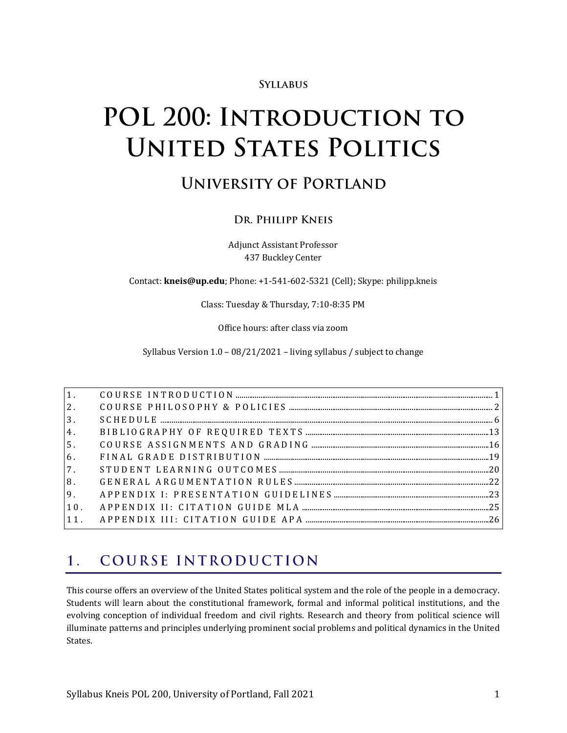#### **SYLLABUS**

# POL 200: INTRODUCTION TO **UNITED STATES POLITICS**

## **UNIVERSITY OF PORTLAND**

#### DR. PHILIPP KNEIS

Adjunct Assistant Professor 437 Buckley Center

Contact: **kneis@up.edu**; Phone: +1-541-602-5321 (Cell); Skype: philipp.kneis

Class: Tuesday & Thursday, 7:10-8:35 PM

Office hours: after class via zoom

Syllabus Version 1.0 – 08/21/2021 – living syllabus / subject to change

| 3 <sub>1</sub> |  |
|----------------|--|
| 4.             |  |
| 5 <sub>1</sub> |  |
| 6.             |  |
| 7.             |  |
| 8.             |  |
|                |  |
| 10.            |  |
|                |  |

#### <span id="page-0-0"></span>COURSE INTRODUCTION  $1.$

This course offers an overview of the United States political system and the role of the people in a democracy. Students will learn about the constitutional framework, formal and informal political institutions, and the evolving conception of individual freedom and civil rights. Research and theory from political science will illuminate patterns and principles underlying prominent social problems and political dynamics in the United States.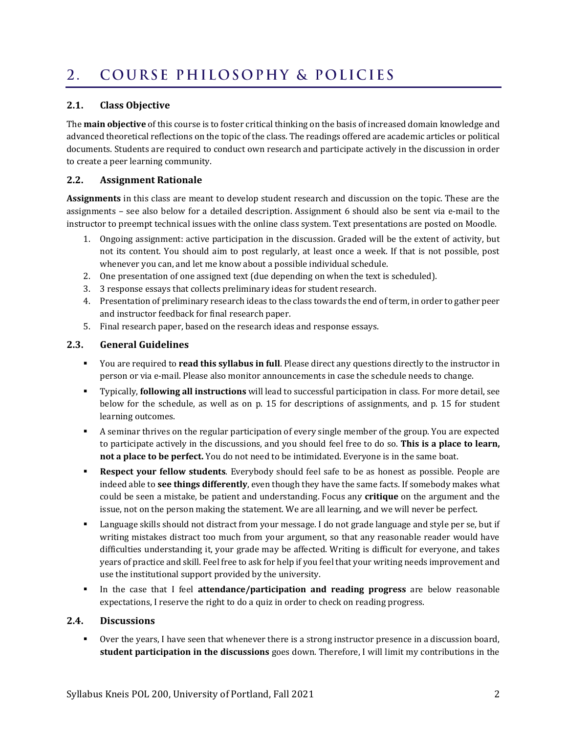#### <span id="page-1-0"></span>COURSE PHILOSOPHY & POLICIES  $2.$

#### **2.1. Class Objective**

The **main objective** of this course is to foster critical thinking on the basis of increased domain knowledge and advanced theoretical reflections on the topic of the class. The readings offered are academic articles or political documents. Students are required to conduct own research and participate actively in the discussion in order to create a peer learning community.

#### **2.2. Assignment Rationale**

**Assignments** in this class are meant to develop student research and discussion on the topic. These are the assignments – see also below for a detailed description. Assignment 6 should also be sent via e-mail to the instructor to preempt technical issues with the online class system. Text presentations are posted on Moodle.

- 1. Ongoing assignment: active participation in the discussion. Graded will be the extent of activity, but not its content. You should aim to post regularly, at least once a week. If that is not possible, post whenever you can, and let me know about a possible individual schedule.
- 2. One presentation of one assigned text (due depending on when the text is scheduled).
- 3. 3 response essays that collects preliminary ideas for student research.
- 4. Presentation of preliminary research ideas to the class towards the end of term, in order to gather peer and instructor feedback for final research paper.
- 5. Final research paper, based on the research ideas and response essays.

#### **2.3. General Guidelines**

- You are required to **read this syllabus in full**. Please direct any questions directly to the instructor in person or via e-mail. Please also monitor announcements in case the schedule needs to change.
- Typically, **following all instructions** will lead to successful participation in class. For more detail, see below for the schedule, as well as on p. [15](#page-14-0) for descriptions of assignments, and p. [15](#page-14-0) for student learning outcomes.
- A seminar thrives on the regular participation of every single member of the group. You are expected to participate actively in the discussions, and you should feel free to do so. **This is a place to learn, not a place to be perfect.** You do not need to be intimidated. Everyone is in the same boat.
- **Respect your fellow students**. Everybody should feel safe to be as honest as possible. People are indeed able to **see things differently**, even though they have the same facts. If somebody makes what could be seen a mistake, be patient and understanding. Focus any **critique** on the argument and the issue, not on the person making the statement. We are all learning, and we will never be perfect.
- Language skills should not distract from your message. I do not grade language and style per se, but if writing mistakes distract too much from your argument, so that any reasonable reader would have difficulties understanding it, your grade may be affected. Writing is difficult for everyone, and takes years of practice and skill. Feel free to ask for help if you feel that your writing needs improvement and use the institutional support provided by the university.
- In the case that I feel **attendance/participation and reading progress** are below reasonable expectations, I reserve the right to do a quiz in order to check on reading progress.

#### **2.4. Discussions**

▪ Over the years, I have seen that whenever there is a strong instructor presence in a discussion board, **student participation in the discussions** goes down. Therefore, I will limit my contributions in the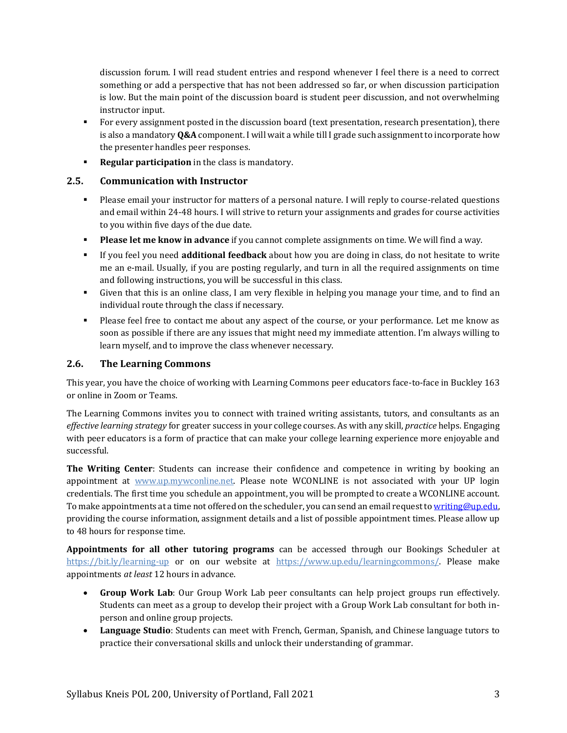discussion forum. I will read student entries and respond whenever I feel there is a need to correct something or add a perspective that has not been addressed so far, or when discussion participation is low. But the main point of the discussion board is student peer discussion, and not overwhelming instructor input.

- For every assignment posted in the discussion board (text presentation, research presentation), there is also a mandatory **Q&A** component. I will wait a while till I grade such assignment to incorporate how the presenter handles peer responses.
- **Regular participation** in the class is mandatory.

#### **2.5. Communication with Instructor**

- Please email your instructor for matters of a personal nature. I will reply to course-related questions and email within 24-48 hours. I will strive to return your assignments and grades for course activities to you within five days of the due date.
- **Please let me know in advance** if you cannot complete assignments on time. We will find a way.
- If you feel you need **additional feedback** about how you are doing in class, do not hesitate to write me an e-mail. Usually, if you are posting regularly, and turn in all the required assignments on time and following instructions, you will be successful in this class.
- Given that this is an online class, I am very flexible in helping you manage your time, and to find an individual route through the class if necessary.
- Please feel free to contact me about any aspect of the course, or your performance. Let me know as soon as possible if there are any issues that might need my immediate attention. I'm always willing to learn myself, and to improve the class whenever necessary.

#### **2.6. The Learning Commons**

This year, you have the choice of working with Learning Commons peer educators face-to-face in Buckley 163 or online in Zoom or Teams.

The Learning Commons invites you to connect with trained writing assistants, tutors, and consultants as an *effective learning strategy* for greater success in your college courses. As with any skill, *practice* helps. Engaging with peer educators is a form of practice that can make your college learning experience more enjoyable and successful.

**The Writing Center**: Students can increase their confidence and competence in writing by booking an appointment at [www.up.mywconline.net.](http://www.up.mywconline.net/) Please note WCONLINE is not associated with your UP login credentials. The first time you schedule an appointment, you will be prompted to create a WCONLINE account. To make appointments at a time not offered on the scheduler, you can send an email request t[o writing@up.edu,](mailto:writing@up.edu) providing the course information, assignment details and a list of possible appointment times. Please allow up to 48 hours for response time.

**Appointments for all other tutoring programs** can be accessed through our Bookings Scheduler at <https://bit.ly/learning-up> or on our website at [https://www.up.edu/learningcommons/.](https://www.up.edu/learningcommons/) Please make appointments *at least* 12 hours in advance.

- **Group Work Lab**: Our Group Work Lab peer consultants can help project groups run effectively. Students can meet as a group to develop their project with a Group Work Lab consultant for both inperson and online group projects.
- **Language Studio**: Students can meet with French, German, Spanish, and Chinese language tutors to practice their conversational skills and unlock their understanding of grammar.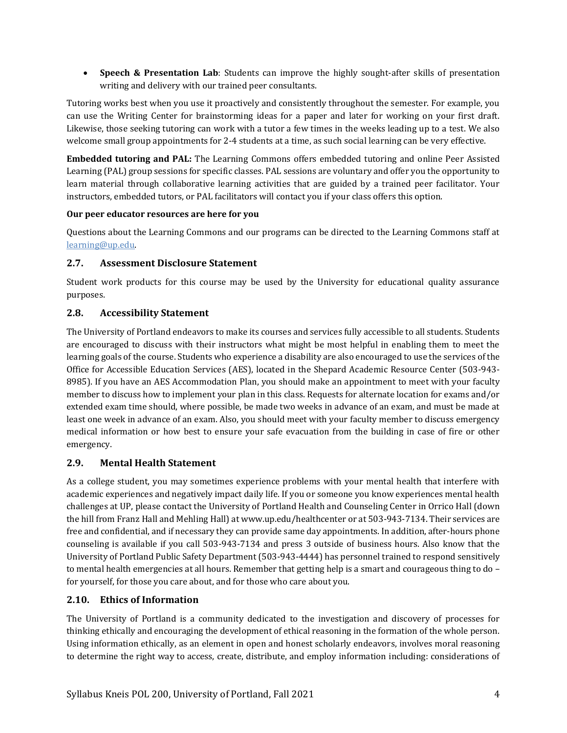• **Speech & Presentation Lab**: Students can improve the highly sought-after skills of presentation writing and delivery with our trained peer consultants.

Tutoring works best when you use it proactively and consistently throughout the semester. For example, you can use the Writing Center for brainstorming ideas for a paper and later for working on your first draft. Likewise, those seeking tutoring can work with a tutor a few times in the weeks leading up to a test. We also welcome small group appointments for 2-4 students at a time, as such social learning can be very effective.

**Embedded tutoring and PAL:** The Learning Commons offers embedded tutoring and online Peer Assisted Learning (PAL) group sessions for specific classes. PAL sessions are voluntary and offer you the opportunity to learn material through collaborative learning activities that are guided by a trained peer facilitator. Your instructors, embedded tutors, or PAL facilitators will contact you if your class offers this option.

#### **Our peer educator resources are here for you**

Questions about the Learning Commons and our programs can be directed to the Learning Commons staff at [learning@up.edu.](mailto:learning@up.edu) 

#### **2.7. Assessment Disclosure Statement**

Student work products for this course may be used by the University for educational quality assurance purposes.

#### **2.8. Accessibility Statement**

The University of Portland endeavors to make its courses and services fully accessible to all students. Students are encouraged to discuss with their instructors what might be most helpful in enabling them to meet the learning goals of the course. Students who experience a disability are also encouraged to use the services of the Office for Accessible Education Services (AES), located in the Shepard Academic Resource Center (503-943- 8985). If you have an AES Accommodation Plan, you should make an appointment to meet with your faculty member to discuss how to implement your plan in this class. Requests for alternate location for exams and/or extended exam time should, where possible, be made two weeks in advance of an exam, and must be made at least one week in advance of an exam. Also, you should meet with your faculty member to discuss emergency medical information or how best to ensure your safe evacuation from the building in case of fire or other emergency.

#### **2.9. Mental Health Statement**

As a college student, you may sometimes experience problems with your mental health that interfere with academic experiences and negatively impact daily life. If you or someone you know experiences mental health challenges at UP, please contact the University of Portland Health and Counseling Center in Orrico Hall (down the hill from Franz Hall and Mehling Hall) a[t www.up.edu/healthcenter](http://www.up.edu/healthcenter) or at 503-943-7134. Their services are free and confidential, and if necessary they can provide same day appointments. In addition, after-hours phone counseling is available if you call 503-943-7134 and press 3 outside of business hours. Also know that the University of Portland Public Safety Department (503-943-4444) has personnel trained to respond sensitively to mental health emergencies at all hours. Remember that getting help is a smart and courageous thing to do – for yourself, for those you care about, and for those who care about you.

#### **2.10. Ethics of Information**

The University of Portland is a community dedicated to the investigation and discovery of processes for thinking ethically and encouraging the development of ethical reasoning in the formation of the whole person. Using information ethically, as an element in open and honest scholarly endeavors, involves moral reasoning to determine the right way to access, create, distribute, and employ information including: considerations of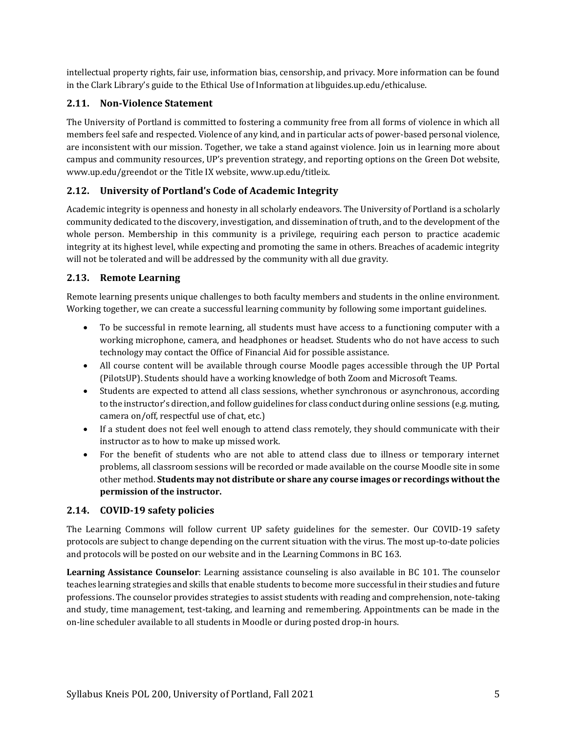intellectual property rights, fair use, information bias, censorship, and privacy. More information can be found in the Clark Library's guide to the [Ethical Use of Information](https://libguides.up.edu/ethicaluse/) at [libguides.up.edu/ethicaluse.](https://libguides.up.edu/ethicaluse/)

#### **2.11. Non-Violence Statement**

The University of Portland is committed to fostering a community free from all forms of violence in which all members feel safe and respected. Violence of any kind, and in particular acts of power-based personal violence, are inconsistent with our mission. Together, we take a stand against violence. Join us in learning more about campus and community resources, UP's prevention strategy, and reporting options on the [Green Dot website,](https://www.up.edu/greendot/) [www.up.edu/greendot](https://www.up.edu/greendot/) or the [Title IX website,](https://www.up.edu/titleix/) [www.up.edu/titleix.](https://www.up.edu/titleix/)

#### **2.12. University of Portland's Code of Academic Integrity**

Academic integrity is openness and honesty in all scholarly endeavors. The University of Portland is a scholarly community dedicated to the discovery, investigation, and dissemination of truth, and to the development of the whole person. Membership in this community is a privilege, requiring each person to practice academic integrity at its highest level, while expecting and promoting the same in others. Breaches of academic integrity will not be tolerated and will be addressed by the community with all due gravity.

#### **2.13. Remote Learning**

Remote learning presents unique challenges to both faculty members and students in the online environment. Working together, we can create a successful learning community by following some important guidelines.

- To be successful in remote learning, all students must have access to a functioning computer with a working microphone, camera, and headphones or headset. Students who do not have access to such technology may contact the Office of Financial Aid for possible assistance.
- All course content will be available through course Moodle pages accessible through the UP Portal (PilotsUP). Students should have a working knowledge of both Zoom and Microsoft Teams.
- Students are expected to attend all class sessions, whether synchronous or asynchronous, according to the instructor's direction, and follow guidelines for class conduct during online sessions (e.g. muting, camera on/off, respectful use of chat, etc.)
- If a student does not feel well enough to attend class remotely, they should communicate with their instructor as to how to make up missed work.
- For the benefit of students who are not able to attend class due to illness or temporary internet problems, all classroom sessions will be recorded or made available on the course Moodle site in some other method. **Students may not distribute or share any course images or recordings without the permission of the instructor.**

#### **2.14. COVID-19 safety policies**

The Learning Commons will follow current UP safety guidelines for the semester. Our COVID-19 safety protocols are subject to change depending on the current situation with the virus. The most up-to-date policies and protocols will be posted on our website and in the Learning Commons in BC 163.

**Learning Assistance Counselor**: Learning assistance counseling is also available in BC 101. The counselor teaches learning strategies and skills that enable students to become more successful in their studies and future professions. The counselor provides strategies to assist students with reading and comprehension, note-taking and study, time management, test-taking, and learning and remembering. Appointments can be made in the on-line scheduler available to all students in Moodle or during posted drop-in hours.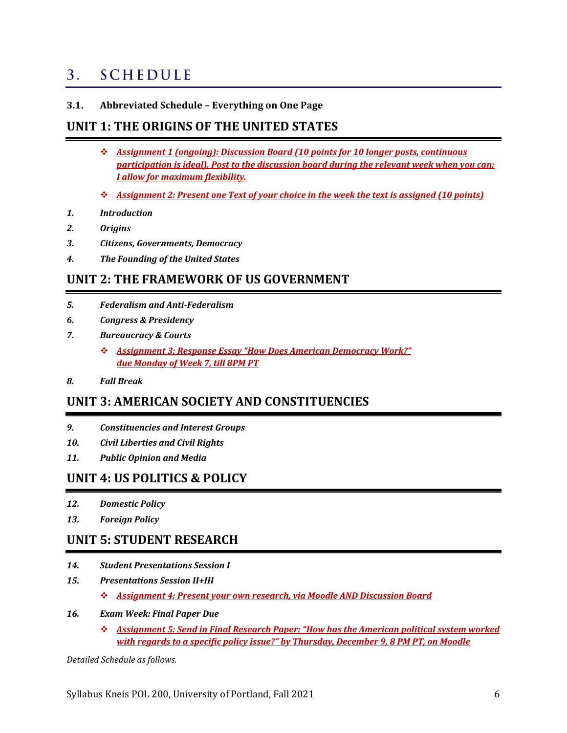#### <span id="page-5-0"></span>**SCHEDULE**  $3<sub>1</sub>$

**3.1. Abbreviated Schedule – Everything on One Page**

### **UNIT 1: THE ORIGINS OF THE UNITED STATES**

- ❖ *Assignment 1 (ongoing): Discussion Board (10 points for 10 longer posts, continuous participation is ideal). Post to the discussion board during the relevant week when you can; I allow for maximum flexibility.*
- ❖ *Assignment 2: Present one Text of your choice in the week the text is assigned (10 points)*
- *1. Introduction*
- *2. Origins*
- *3. Citizens, Governments, Democracy*
- *4. The Founding of the United States*

### **UNIT 2: THE FRAMEWORK OF US GOVERNMENT**

- *5. Federalism and Anti-Federalism*
- *6. Congress & Presidency*
- *7. Bureaucracy & Courts*
	- ❖ *Assignment 3: Response Essay "How Does American Democracy Work?" due Monday of Week 7, till 8PM PT*
- *8. Fall Break*

### **UNIT 3: AMERICAN SOCIETY AND CONSTITUENCIES**

- *9. Constituencies and Interest Groups*
- *10. Civil Liberties and Civil Rights*
- *11. Public Opinion and Media*

### **UNIT 4: US POLITICS & POLICY**

- *12. Domestic Policy*
- *13. Foreign Policy*

### **UNIT 5: STUDENT RESEARCH**

- *14. Student Presentations Session I*
- *15. Presentations Session II+III*
	- ❖ *Assignment 4: Present your own research, via Moodle AND Discussion Board*

#### *16. Exam Week: Final Paper Due*

❖ *Assignment 5: Send in Final Research Paper: "How has the American political system worked with regards to a specific policy issue?" by Thursday, December 9, 8 PM PT, on Moodle*

*Detailed Schedule as follows.*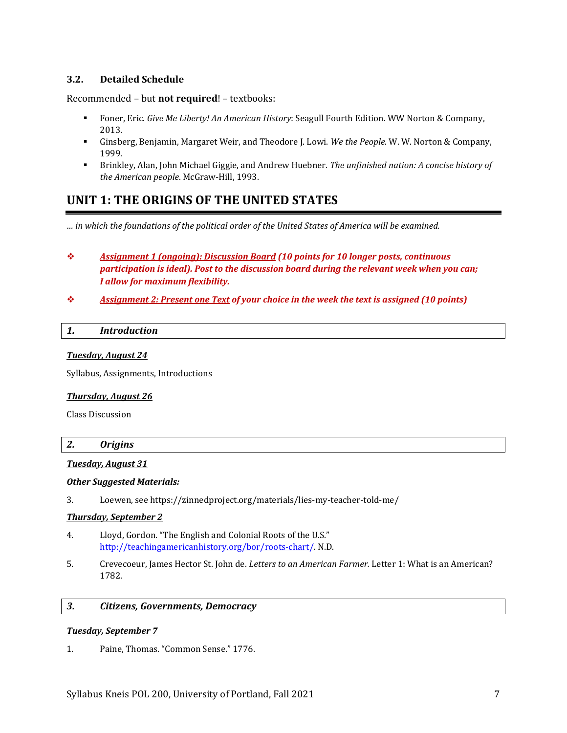#### **3.2. Detailed Schedule**

Recommended – but **not required**! – textbooks:

- Foner, Eric. *Give Me Liberty! An American History*: Seagull Fourth Edition. WW Norton & Company, 2013.
- Ginsberg, Benjamin, Margaret Weir, and Theodore J. Lowi. *We the People*. W. W. Norton & Company, 1999.
- Brinkley, Alan, John Michael Giggie, and Andrew Huebner. *The unfinished nation: A concise history of the American people*. McGraw-Hill, 1993.

### **UNIT 1: THE ORIGINS OF THE UNITED STATES**

*… in which the foundations of the political order of the United States of America will be examined.*

- ❖ *Assignment 1 (ongoing): Discussion Board (10 points for 10 longer posts, continuous participation is ideal). Post to the discussion board during the relevant week when you can; I allow for maximum flexibility.*
- ❖ *Assignment 2: Present one Text of your choice in the week the text is assigned (10 points)*

#### *1. Introduction*

#### *Tuesday, August 24*

Syllabus, Assignments, Introductions

#### *Thursday, August 26*

Class Discussion

#### *2. Origins*

#### *Tuesday, August 31*

#### *Other Suggested Materials:*

3. Loewen, se[e https://zinnedproject.org/materials/lies-my-teacher-told-me/](https://zinnedproject.org/materials/lies-my-teacher-told-me/)

#### *Thursday, September 2*

- 4. Lloyd, Gordon. "The English and Colonial Roots of the U.S." [http://teachingamericanhistory.org/bor/roots-chart/.](http://teachingamericanhistory.org/bor/roots-chart/) N.D.
- 5. Crevecoeur, James Hector St. John de. *Letters to an American Farmer.* Letter 1: What is an American? 1782.

#### *3. Citizens, Governments, Democracy*

#### *Tuesday, September 7*

1. Paine, Thomas. "Common Sense." 1776.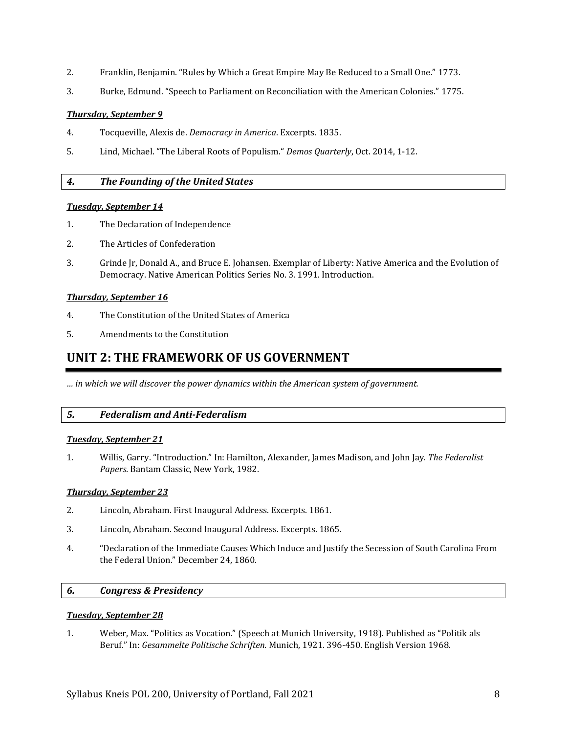- 2. Franklin, Benjamin. "Rules by Which a Great Empire May Be Reduced to a Small One." 1773.
- 3. Burke, Edmund. "Speech to Parliament on Reconciliation with the American Colonies." 1775.

#### *Thursday, September 9*

- 4. Tocqueville, Alexis de. *Democracy in America*. Excerpts. 1835.
- 5. Lind, Michael. "The Liberal Roots of Populism." *Demos Quarterly*, Oct. 2014, 1-12.

#### *4. The Founding of the United States*

#### *Tuesday, September 14*

- 1. The Declaration of Independence
- 2. The Articles of Confederation
- 3. Grinde Jr, Donald A., and Bruce E. Johansen. Exemplar of Liberty: Native America and the Evolution of Democracy. Native American Politics Series No. 3. 1991. Introduction.

#### *Thursday, September 16*

- 4. The Constitution of the United States of America
- 5. Amendments to the Constitution

### **UNIT 2: THE FRAMEWORK OF US GOVERNMENT**

*… in which we will discover the power dynamics within the American system of government.*

#### *5. Federalism and Anti-Federalism*

#### *Tuesday, September 21*

1. Willis, Garry. "Introduction." In: Hamilton, Alexander, James Madison, and John Jay. *The Federalist Papers*. Bantam Classic, New York, 1982.

#### *Thursday, September 23*

- 2. Lincoln, Abraham. First Inaugural Address. Excerpts. 1861.
- 3. Lincoln, Abraham. Second Inaugural Address. Excerpts. 1865.
- 4. "Declaration of the Immediate Causes Which Induce and Justify the Secession of South Carolina From the Federal Union." December 24, 1860.

#### *6. Congress & Presidency*

#### *Tuesday, September 28*

1. Weber, Max. "Politics as Vocation." (Speech at Munich University, 1918). Published as "Politik als Beruf." In: *Gesammelte Politische Schriften.* Munich, 1921. 396-450. English Version 1968.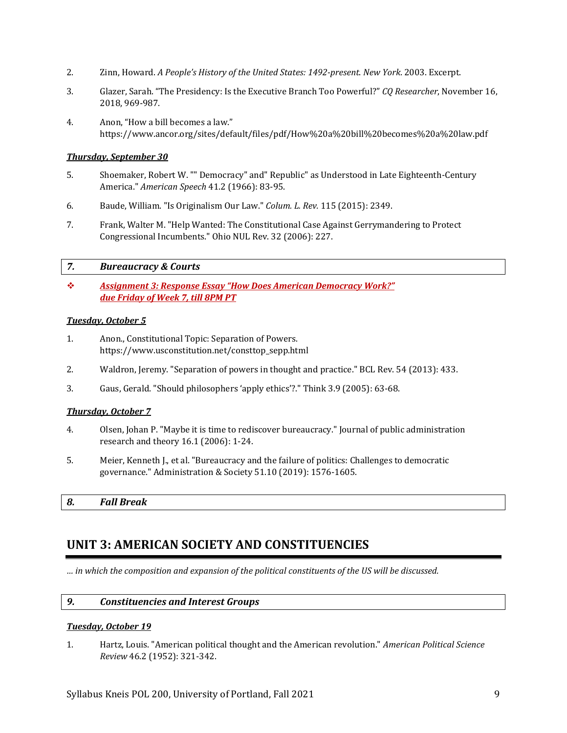- 2. Zinn, Howard. *A People's History of the United States: 1492-present*. *New York*. 2003. Excerpt.
- 3. Glazer, Sarah. "The Presidency: Is the Executive Branch Too Powerful?" *CQ Researcher*, November 16, 2018, 969-987.
- 4. Anon, "How a bill becomes a law." https://www.ancor.org/sites/default/files/pdf/How%20a%20bill%20becomes%20a%20law.pdf

#### *Thursday, September 30*

- 5. Shoemaker, Robert W. "" Democracy" and" Republic" as Understood in Late Eighteenth-Century America." *American Speech* 41.2 (1966): 83-95.
- 6. Baude, William. "Is Originalism Our Law." *Colum. L. Rev.* 115 (2015): 2349.
- 7. Frank, Walter M. "Help Wanted: The Constitutional Case Against Gerrymandering to Protect Congressional Incumbents." Ohio NUL Rev. 32 (2006): 227.

#### *7. Bureaucracy & Courts*

❖ *Assignment 3: Response Essay "How Does American Democracy Work?" due Friday of Week 7, till 8PM PT*

#### *Tuesday, October 5*

- 1. Anon., Constitutional Topic: Separation of Powers. https://www.usconstitution.net/consttop\_sepp.html
- 2. Waldron, Jeremy. "Separation of powers in thought and practice." BCL Rev. 54 (2013): 433.
- 3. Gaus, Gerald. "Should philosophers 'apply ethics'?." Think 3.9 (2005): 63-68.

#### *Thursday, October 7*

- 4. Olsen, Johan P. "Maybe it is time to rediscover bureaucracy." Journal of public administration research and theory 16.1 (2006): 1-24.
- 5. Meier, Kenneth J., et al. "Bureaucracy and the failure of politics: Challenges to democratic governance." Administration & Society 51.10 (2019): 1576-1605.

*8. Fall Break*

### **UNIT 3: AMERICAN SOCIETY AND CONSTITUENCIES**

*… in which the composition and expansion of the political constituents of the US will be discussed.*

#### *9. Constituencies and Interest Groups*

#### *Tuesday, October 19*

1. Hartz, Louis. "American political thought and the American revolution." *American Political Science Review* 46.2 (1952): 321-342.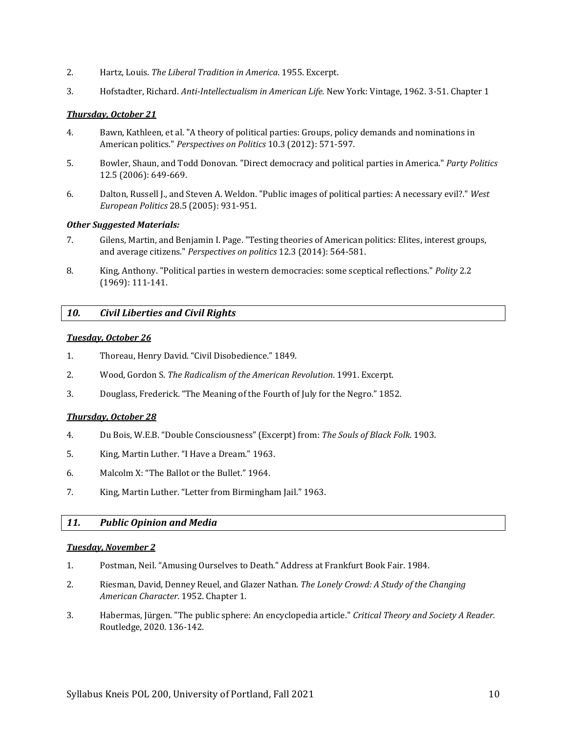- 2. Hartz, Louis. *The Liberal Tradition in America*. 1955. Excerpt.
- 3. Hofstadter, Richard. *Anti-Intellectualism in American Life.* New York: Vintage, 1962. 3-51. Chapter 1

#### *Thursday, October 21*

- 4. Bawn, Kathleen, et al. "A theory of political parties: Groups, policy demands and nominations in American politics." *Perspectives on Politics* 10.3 (2012): 571-597.
- 5. Bowler, Shaun, and Todd Donovan. "Direct democracy and political parties in America." *Party Politics* 12.5 (2006): 649-669.
- 6. Dalton, Russell J., and Steven A. Weldon. "Public images of political parties: A necessary evil?." *West European Politics* 28.5 (2005): 931-951.

#### *Other Suggested Materials:*

- 7. Gilens, Martin, and Benjamin I. Page. "Testing theories of American politics: Elites, interest groups, and average citizens." *Perspectives on politics* 12.3 (2014): 564-581.
- 8. King, Anthony. "Political parties in western democracies: some sceptical reflections." *Polity* 2.2 (1969): 111-141.

#### *10. Civil Liberties and Civil Rights*

#### *Tuesday, October 26*

- 1. Thoreau, Henry David. "Civil Disobedience." 1849.
- 2. Wood, Gordon S. *The Radicalism of the American Revolution*. 1991. Excerpt.
- 3. Douglass, Frederick. "The Meaning of the Fourth of July for the Negro." 1852.

#### *Thursday, October 28*

- 4. Du Bois, W.E.B. "Double Consciousness" (Excerpt) from: *The Souls of Black Folk*. 1903.
- 5. King, Martin Luther. "I Have a Dream." 1963.
- 6. Malcolm X: "The Ballot or the Bullet." 1964.
- 7. King, Martin Luther. "Letter from Birmingham Jail." 1963.

#### *11. Public Opinion and Media*

#### *Tuesday, November 2*

- 1. Postman, Neil. "Amusing Ourselves to Death." Address at Frankfurt Book Fair. 1984.
- 2. Riesman, David, Denney Reuel, and Glazer Nathan. *The Lonely Crowd: A Study of the Changing American Character.* 1952. Chapter 1.
- 3. Habermas, Jürgen. "The public sphere: An encyclopedia article." *Critical Theory and Society A Reader.* Routledge, 2020. 136-142.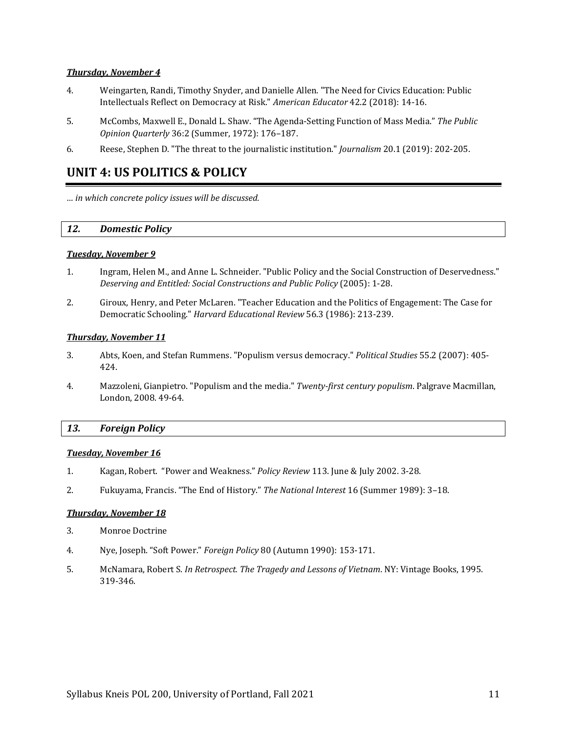#### *Thursday, November 4*

- 4. Weingarten, Randi, Timothy Snyder, and Danielle Allen. "The Need for Civics Education: Public Intellectuals Reflect on Democracy at Risk." *American Educator* 42.2 (2018): 14-16.
- 5. McCombs, Maxwell E., Donald L. Shaw. "The Agenda-Setting Function of Mass Media." *The Public Opinion Quarterly* 36:2 (Summer, 1972): 176–187.
- 6. Reese, Stephen D. "The threat to the journalistic institution." *Journalism* 20.1 (2019): 202-205.

### **UNIT 4: US POLITICS & POLICY**

*… in which concrete policy issues will be discussed.*

#### *12. Domestic Policy*

#### *Tuesday, November 9*

- 1. Ingram, Helen M., and Anne L. Schneider. "Public Policy and the Social Construction of Deservedness." *Deserving and Entitled: Social Constructions and Public Policy* (2005): 1-28.
- 2. Giroux, Henry, and Peter McLaren. "Teacher Education and the Politics of Engagement: The Case for Democratic Schooling." *Harvard Educational Review* 56.3 (1986): 213-239.

#### *Thursday, November 11*

- 3. Abts, Koen, and Stefan Rummens. "Populism versus democracy." *Political Studies* 55.2 (2007): 405- 424.
- 4. Mazzoleni, Gianpietro. "Populism and the media." *Twenty-first century populism*. Palgrave Macmillan, London, 2008. 49-64.

#### *13. Foreign Policy*

#### *Tuesday, November 16*

- 1. Kagan, Robert. "Power and Weakness." *Policy Review* 113. June & July 2002. 3-28.
- 2. Fukuyama, Francis. "The End of History." *The National Interest* 16 (Summer 1989): 3–18.

#### *Thursday, November 18*

- 3. Monroe Doctrine
- 4. Nye, Joseph. "Soft Power." *Foreign Policy* 80 (Autumn 1990): 153-171.
- 5. McNamara, Robert S. *In Retrospect. The Tragedy and Lessons of Vietnam*. NY: Vintage Books, 1995. 319-346.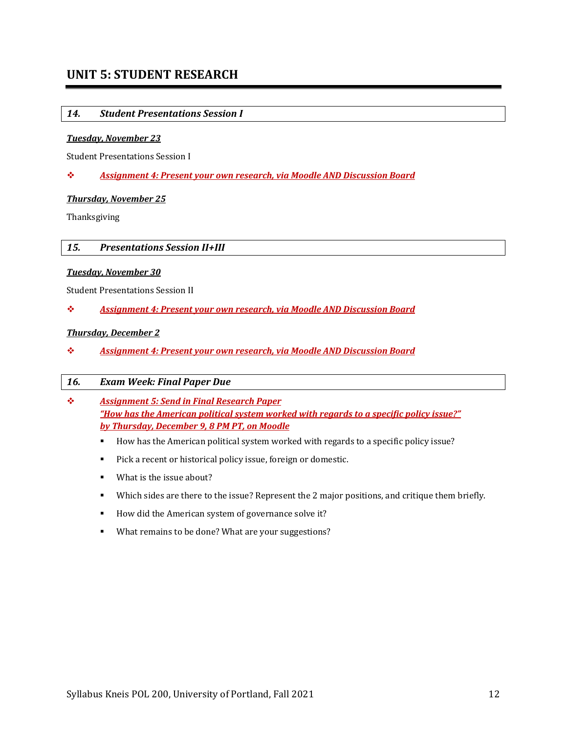### **UNIT 5: STUDENT RESEARCH**

#### *14. Student Presentations Session I*

#### *Tuesday, November 23*

Student Presentations Session I

❖ *Assignment 4: Present your own research, via Moodle AND Discussion Board*

#### *Thursday, November 25*

Thanksgiving

#### *15. Presentations Session II+III*

#### *Tuesday, November 30*

Student Presentations Session II

❖ *Assignment 4: Present your own research, via Moodle AND Discussion Board*

#### *Thursday, December 2*

❖ *Assignment 4: Present your own research, via Moodle AND Discussion Board*

#### *16. Exam Week: Final Paper Due*

- ❖ *Assignment 5: Send in Final Research Paper "How has the American political system worked with regards to a specific policy issue?" by Thursday, December 9, 8 PM PT, on Moodle*
	- How has the American political system worked with regards to a specific policy issue?
	- Pick a recent or historical policy issue, foreign or domestic.
	- What is the issue about?
	- Which sides are there to the issue? Represent the 2 major positions, and critique them briefly.
	- How did the American system of governance solve it?
	- What remains to be done? What are your suggestions?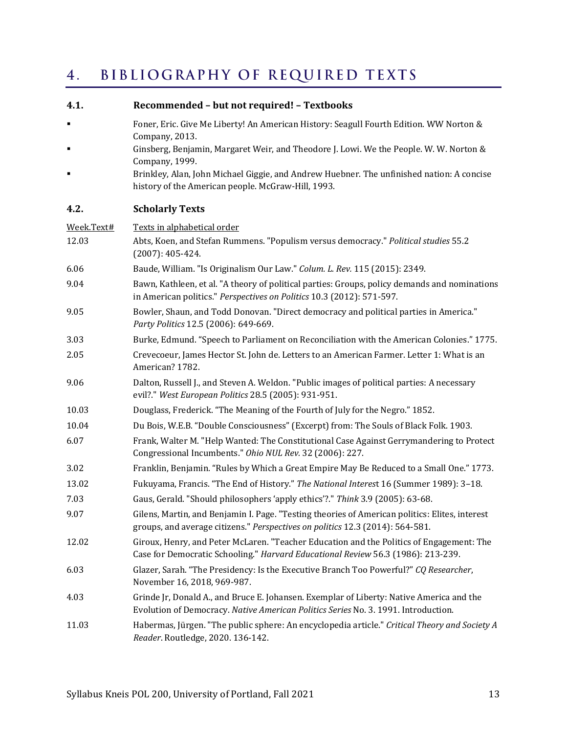#### <span id="page-12-0"></span>BIBLIOGRAPHY OF REQUIRED TEXTS  $4.$

| 4.1.       | Recommended - but not required! - Textbooks                                                                                                                                     |  |  |  |  |
|------------|---------------------------------------------------------------------------------------------------------------------------------------------------------------------------------|--|--|--|--|
| ۰          | Foner, Eric. Give Me Liberty! An American History: Seagull Fourth Edition. WW Norton &<br>Company, 2013.                                                                        |  |  |  |  |
| ٠          | Ginsberg, Benjamin, Margaret Weir, and Theodore J. Lowi. We the People. W. W. Norton &<br>Company, 1999.                                                                        |  |  |  |  |
|            | Brinkley, Alan, John Michael Giggie, and Andrew Huebner. The unfinished nation: A concise<br>history of the American people. McGraw-Hill, 1993.                                 |  |  |  |  |
| 4.2.       | <b>Scholarly Texts</b>                                                                                                                                                          |  |  |  |  |
| Week.Text# | Texts in alphabetical order                                                                                                                                                     |  |  |  |  |
| 12.03      | Abts, Koen, and Stefan Rummens. "Populism versus democracy." Political studies 55.2<br>$(2007): 405 - 424.$                                                                     |  |  |  |  |
| 6.06       | Baude, William. "Is Originalism Our Law." Colum. L. Rev. 115 (2015): 2349.                                                                                                      |  |  |  |  |
| 9.04       | Bawn, Kathleen, et al. "A theory of political parties: Groups, policy demands and nominations<br>in American politics." Perspectives on Politics 10.3 (2012): 571-597.          |  |  |  |  |
| 9.05       | Bowler, Shaun, and Todd Donovan. "Direct democracy and political parties in America."<br>Party Politics 12.5 (2006): 649-669.                                                   |  |  |  |  |
| 3.03       | Burke, Edmund. "Speech to Parliament on Reconciliation with the American Colonies." 1775.                                                                                       |  |  |  |  |
| 2.05       | Crevecoeur, James Hector St. John de. Letters to an American Farmer. Letter 1: What is an<br>American? 1782.                                                                    |  |  |  |  |
| 9.06       | Dalton, Russell J., and Steven A. Weldon. "Public images of political parties: A necessary<br>evil?." West European Politics 28.5 (2005): 931-951.                              |  |  |  |  |
| 10.03      | Douglass, Frederick. "The Meaning of the Fourth of July for the Negro." 1852.                                                                                                   |  |  |  |  |
| 10.04      | Du Bois, W.E.B. "Double Consciousness" (Excerpt) from: The Souls of Black Folk. 1903.                                                                                           |  |  |  |  |
| 6.07       | Frank, Walter M. "Help Wanted: The Constitutional Case Against Gerrymandering to Protect<br>Congressional Incumbents." Ohio NUL Rev. 32 (2006): 227.                            |  |  |  |  |
| 3.02       | Franklin, Benjamin. "Rules by Which a Great Empire May Be Reduced to a Small One." 1773.                                                                                        |  |  |  |  |
| 13.02      | Fukuyama, Francis. "The End of History." The National Interest 16 (Summer 1989): 3-18.                                                                                          |  |  |  |  |
| 7.03       | Gaus, Gerald. "Should philosophers 'apply ethics'?." Think 3.9 (2005): 63-68.                                                                                                   |  |  |  |  |
| 9.07       | Gilens, Martin, and Benjamin I. Page. "Testing theories of American politics: Elites, interest<br>groups, and average citizens." Perspectives on politics 12.3 (2014): 564-581. |  |  |  |  |
| 12.02      | Giroux, Henry, and Peter McLaren. "Teacher Education and the Politics of Engagement: The<br>Case for Democratic Schooling." Harvard Educational Review 56.3 (1986): 213-239.    |  |  |  |  |
| 6.03       | Glazer, Sarah. "The Presidency: Is the Executive Branch Too Powerful?" CQ Researcher,<br>November 16, 2018, 969-987.                                                            |  |  |  |  |
| 4.03       | Grinde Jr, Donald A., and Bruce E. Johansen. Exemplar of Liberty: Native America and the<br>Evolution of Democracy. Native American Politics Series No. 3. 1991. Introduction.  |  |  |  |  |
| 11.03      | Habermas, Jürgen. "The public sphere: An encyclopedia article." Critical Theory and Society A<br>Reader. Routledge, 2020. 136-142.                                              |  |  |  |  |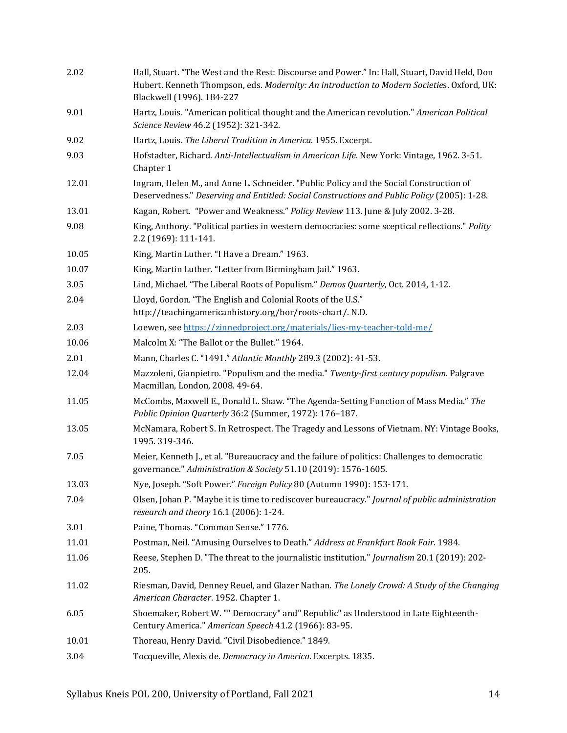| 2.02  | Hall, Stuart. "The West and the Rest: Discourse and Power." In: Hall, Stuart, David Held, Don<br>Hubert. Kenneth Thompson, eds. Modernity: An introduction to Modern Societies. Oxford, UK:<br>Blackwell (1996). 184-227 |
|-------|--------------------------------------------------------------------------------------------------------------------------------------------------------------------------------------------------------------------------|
| 9.01  | Hartz, Louis. "American political thought and the American revolution." American Political<br>Science Review 46.2 (1952): 321-342.                                                                                       |
| 9.02  | Hartz, Louis. The Liberal Tradition in America. 1955. Excerpt.                                                                                                                                                           |
| 9.03  | Hofstadter, Richard. Anti-Intellectualism in American Life. New York: Vintage, 1962. 3-51.<br>Chapter 1                                                                                                                  |
| 12.01 | Ingram, Helen M., and Anne L. Schneider. "Public Policy and the Social Construction of<br>Deservedness." Deserving and Entitled: Social Constructions and Public Policy (2005): 1-28.                                    |
| 13.01 | Kagan, Robert. "Power and Weakness." Policy Review 113. June & July 2002. 3-28.                                                                                                                                          |
| 9.08  | King, Anthony. "Political parties in western democracies: some sceptical reflections." Polity<br>2.2 (1969): 111-141.                                                                                                    |
| 10.05 | King, Martin Luther. "I Have a Dream." 1963.                                                                                                                                                                             |
| 10.07 | King, Martin Luther. "Letter from Birmingham Jail." 1963.                                                                                                                                                                |
| 3.05  | Lind, Michael. "The Liberal Roots of Populism." Demos Quarterly, Oct. 2014, 1-12.                                                                                                                                        |
| 2.04  | Lloyd, Gordon. "The English and Colonial Roots of the U.S."<br>http://teachingamericanhistory.org/bor/roots-chart/. N.D.                                                                                                 |
| 2.03  | Loewen, see https://zinnedproject.org/materials/lies-my-teacher-told-me/                                                                                                                                                 |
| 10.06 | Malcolm X: "The Ballot or the Bullet." 1964.                                                                                                                                                                             |
| 2.01  | Mann, Charles C. "1491." Atlantic Monthly 289.3 (2002): 41-53.                                                                                                                                                           |
| 12.04 | Mazzoleni, Gianpietro. "Populism and the media." Twenty-first century populism. Palgrave<br>Macmillan, London, 2008. 49-64.                                                                                              |
| 11.05 | McCombs, Maxwell E., Donald L. Shaw. "The Agenda-Setting Function of Mass Media." The<br>Public Opinion Quarterly 36:2 (Summer, 1972): 176-187.                                                                          |
| 13.05 | McNamara, Robert S. In Retrospect. The Tragedy and Lessons of Vietnam. NY: Vintage Books,<br>1995.319-346.                                                                                                               |
| 7.05  | Meier, Kenneth J., et al. "Bureaucracy and the failure of politics: Challenges to democratic<br>governance." Administration & Society 51.10 (2019): 1576-1605.                                                           |
| 13.03 | Nye, Joseph. "Soft Power." Foreign Policy 80 (Autumn 1990): 153-171.                                                                                                                                                     |
| 7.04  | Olsen, Johan P. "Maybe it is time to rediscover bureaucracy." Journal of public administration<br>research and theory 16.1 (2006): 1-24.                                                                                 |
| 3.01  | Paine, Thomas. "Common Sense." 1776.                                                                                                                                                                                     |
| 11.01 | Postman, Neil. "Amusing Ourselves to Death." Address at Frankfurt Book Fair. 1984.                                                                                                                                       |
| 11.06 | Reese, Stephen D. "The threat to the journalistic institution." Journalism 20.1 (2019): 202-<br>205.                                                                                                                     |
| 11.02 | Riesman, David, Denney Reuel, and Glazer Nathan. The Lonely Crowd: A Study of the Changing<br>American Character. 1952. Chapter 1.                                                                                       |
| 6.05  | Shoemaker, Robert W. "" Democracy" and" Republic" as Understood in Late Eighteenth-<br>Century America." American Speech 41.2 (1966): 83-95.                                                                             |
| 10.01 | Thoreau, Henry David. "Civil Disobedience." 1849.                                                                                                                                                                        |
| 3.04  | Tocqueville, Alexis de. Democracy in America. Excerpts. 1835.                                                                                                                                                            |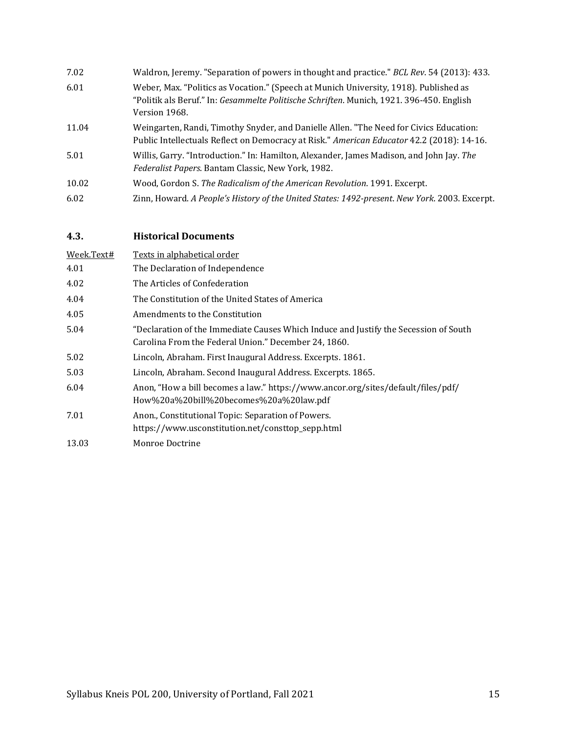| 7.02  | Waldron, Jeremy. "Separation of powers in thought and practice." BCL Rev. 54 (2013): 433.                                                                                                          |
|-------|----------------------------------------------------------------------------------------------------------------------------------------------------------------------------------------------------|
| 6.01  | Weber, Max. "Politics as Vocation." (Speech at Munich University, 1918). Published as<br>"Politik als Beruf." In: Gesammelte Politische Schriften. Munich, 1921. 396-450. English<br>Version 1968. |
| 11.04 | Weingarten, Randi, Timothy Snyder, and Danielle Allen. "The Need for Civics Education:<br>Public Intellectuals Reflect on Democracy at Risk." American Educator 42.2 (2018): 14-16.                |
| 5.01  | Willis, Garry. "Introduction." In: Hamilton, Alexander, James Madison, and John Jay. The<br>Federalist Papers. Bantam Classic, New York, 1982.                                                     |
| 10.02 | Wood, Gordon S. The Radicalism of the American Revolution. 1991. Excerpt.                                                                                                                          |
| 6.02  | Zinn, Howard. A People's History of the United States: 1492-present. New York. 2003. Excerpt.                                                                                                      |

### <span id="page-14-0"></span>**4.3. Historical Documents**

| Week.Text# | Texts in alphabetical order                                                                                                                  |  |  |  |
|------------|----------------------------------------------------------------------------------------------------------------------------------------------|--|--|--|
| 4.01       | The Declaration of Independence                                                                                                              |  |  |  |
| 4.02       | The Articles of Confederation                                                                                                                |  |  |  |
| 4.04       | The Constitution of the United States of America                                                                                             |  |  |  |
| 4.05       | Amendments to the Constitution                                                                                                               |  |  |  |
| 5.04       | "Declaration of the Immediate Causes Which Induce and Justify the Secession of South<br>Carolina From the Federal Union." December 24, 1860. |  |  |  |
| 5.02       | Lincoln, Abraham. First Inaugural Address. Excerpts. 1861.                                                                                   |  |  |  |
| 5.03       | Lincoln, Abraham. Second Inaugural Address. Excerpts. 1865.                                                                                  |  |  |  |
| 6.04       | Anon, "How a bill becomes a law." https://www.ancor.org/sites/default/files/pdf/<br>How%20a%20bill%20becomes%20a%20law.pdf                   |  |  |  |
| 7.01       | Anon., Constitutional Topic: Separation of Powers.<br>https://www.usconstitution.net/consttop_sepp.html                                      |  |  |  |
| 13.03      | Monroe Doctrine                                                                                                                              |  |  |  |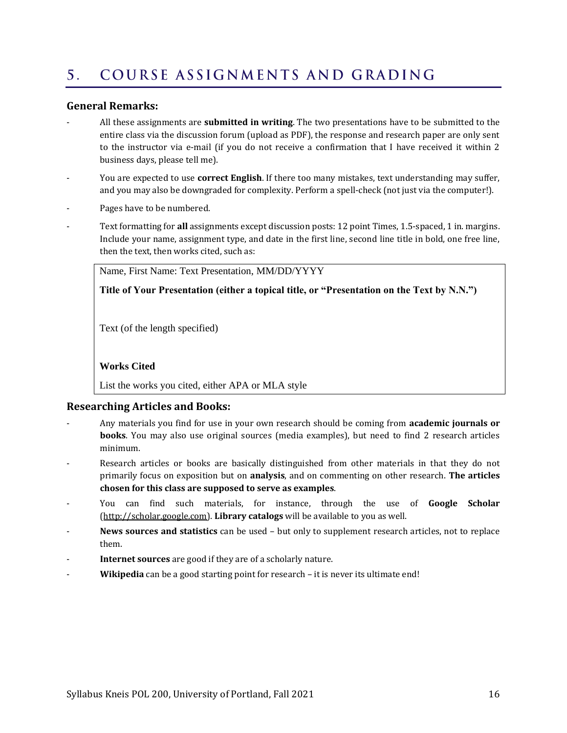#### <span id="page-15-0"></span>COURSE ASSIGNMENTS AND GRADING  $5<sub>1</sub>$

#### **General Remarks:**

- All these assignments are **submitted in writing**. The two presentations have to be submitted to the entire class via the discussion forum (upload as PDF), the response and research paper are only sent to the instructor via e-mail (if you do not receive a confirmation that I have received it within 2 business days, please tell me).
- You are expected to use **correct English**. If there too many mistakes, text understanding may suffer, and you may also be downgraded for complexity. Perform a spell-check (not just via the computer!).
- Pages have to be numbered.
- Text formatting for **all** assignments except discussion posts: 12 point Times, 1.5-spaced, 1 in. margins. Include your name, assignment type, and date in the first line, second line title in bold, one free line, then the text, then works cited, such as:

Name, First Name: Text Presentation, MM/DD/YYYY

**Title of Your Presentation (either a topical title, or "Presentation on the Text by N.N.")**

Text (of the length specified)

#### **Works Cited**

List the works you cited, either APA or MLA style

#### **Researching Articles and Books:**

- Any materials you find for use in your own research should be coming from **academic journals or books**. You may also use original sources (media examples), but need to find 2 research articles minimum.
- Research articles or books are basically distinguished from other materials in that they do not primarily focus on exposition but on **analysis**, and on commenting on other research. **The articles chosen for this class are supposed to serve as examples**.
- You can find such materials, for instance, through the use of **Google Scholar** [\(http://scholar.google.com\)](http://scholar.google.com/). **Library catalogs** will be available to you as well.
- **News sources and statistics** can be used but only to supplement research articles, not to replace them.
- **Internet sources** are good if they are of a scholarly nature.
- Wikipedia can be a good starting point for research it is never its ultimate end!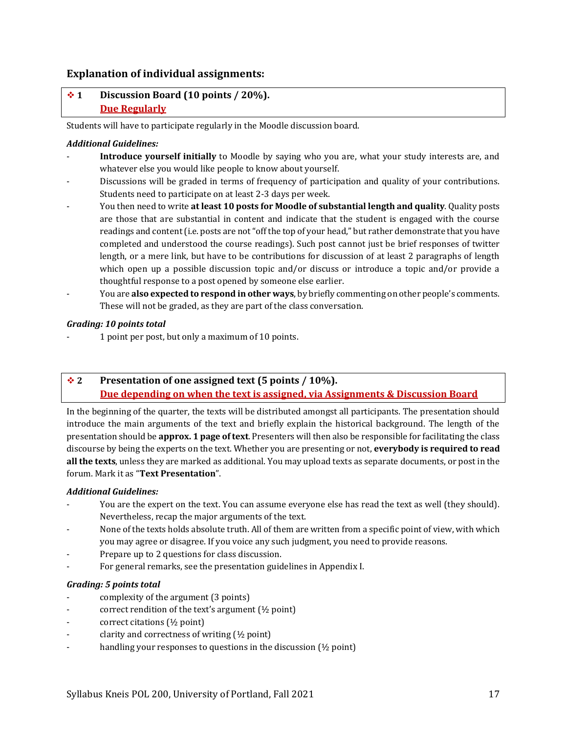#### **Explanation of individual assignments:**

#### ❖ **1 Discussion Board (10 points / 20%). Due Regularly**

Students will have to participate regularly in the Moodle discussion board.

#### *Additional Guidelines:*

- Introduce yourself initially to Moodle by saying who you are, what your study interests are, and whatever else you would like people to know about yourself.
- Discussions will be graded in terms of frequency of participation and quality of your contributions. Students need to participate on at least 2-3 days per week.
- You then need to write **at least 10 posts for Moodle of substantial length and quality**. Quality posts are those that are substantial in content and indicate that the student is engaged with the course readings and content (i.e. posts are not "off the top of your head," but rather demonstrate that you have completed and understood the course readings). Such post cannot just be brief responses of twitter length, or a mere link, but have to be contributions for discussion of at least 2 paragraphs of length which open up a possible discussion topic and/or discuss or introduce a topic and/or provide a thoughtful response to a post opened by someone else earlier.
- You are **also expected to respond in other ways**, by briefly commenting on other people's comments. These will not be graded, as they are part of the class conversation.

#### *Grading: 10 points total*

- 1 point per post, but only a maximum of 10 points.

#### ❖ **2 Presentation of one assigned text (5 points / 10%). Due depending on when the text is assigned, via Assignments & Discussion Board**

In the beginning of the quarter, the texts will be distributed amongst all participants. The presentation should introduce the main arguments of the text and briefly explain the historical background. The length of the presentation should be **approx. 1 page of text**. Presenters will then also be responsible for facilitating the class discourse by being the experts on the text. Whether you are presenting or not, **everybody is required to read all the texts**, unless they are marked as additional. You may upload texts as separate documents, or post in the forum. Mark it as "**Text Presentation**".

#### *Additional Guidelines:*

- You are the expert on the text. You can assume everyone else has read the text as well (they should). Nevertheless, recap the major arguments of the text.
- None of the texts holds absolute truth. All of them are written from a specific point of view, with which you may agree or disagree. If you voice any such judgment, you need to provide reasons.
- Prepare up to 2 questions for class discussion.
- For general remarks, see the presentation guidelines in Appendix I.

#### *Grading: 5 points total*

- complexity of the argument (3 points)
- correct rendition of the text's argument (½ point)
- correct citations (½ point)
- clarity and correctness of writing  $(\frac{1}{2}$  point)
- handling your responses to questions in the discussion  $(½$  point)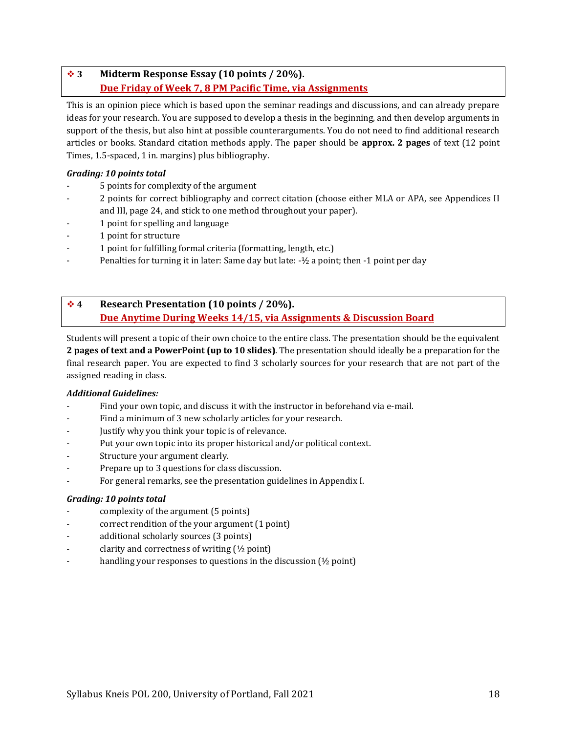### ❖ **3 Midterm Response Essay (10 points / 20%). Due Friday of Week 7, 8 PM Pacific Time, via Assignments**

This is an opinion piece which is based upon the seminar readings and discussions, and can already prepare ideas for your research. You are supposed to develop a thesis in the beginning, and then develop arguments in support of the thesis, but also hint at possible counterarguments. You do not need to find additional research articles or books. Standard citation methods apply. The paper should be **approx. 2 pages** of text (12 point Times, 1.5-spaced, 1 in. margins) plus bibliography.

#### *Grading: 10 points total*

- 5 points for complexity of the argument
- 2 points for correct bibliography and correct citation (choose either MLA or APA, see Appendices II and III, pag[e 24,](#page-23-0) and stick to one method throughout your paper).
- 1 point for spelling and language
- 1 point for structure
- 1 point for fulfilling formal criteria (formatting, length, etc.)
- Penalties for turning it in later: Same day but late: -½ a point; then -1 point per day

### ❖ **4 Research Presentation (10 points / 20%). Due Anytime During Weeks 14/15, via Assignments & Discussion Board**

Students will present a topic of their own choice to the entire class. The presentation should be the equivalent **2 pages of text and a PowerPoint (up to 10 slides)**. The presentation should ideally be a preparation for the final research paper. You are expected to find 3 scholarly sources for your research that are not part of the assigned reading in class.

#### *Additional Guidelines:*

- Find your own topic, and discuss it with the instructor in beforehand via e-mail.
- Find a minimum of 3 new scholarly articles for your research.
- Justify why you think your topic is of relevance.
- Put your own topic into its proper historical and/or political context.
- Structure your argument clearly.
- Prepare up to 3 questions for class discussion.
- For general remarks, see the presentation guidelines in Appendix I.

#### *Grading: 10 points total*

- complexity of the argument (5 points)
- correct rendition of the your argument (1 point)
- additional scholarly sources (3 points)
- clarity and correctness of writing  $(½$  point)
- handling your responses to questions in the discussion ( $\frac{1}{2}$  point)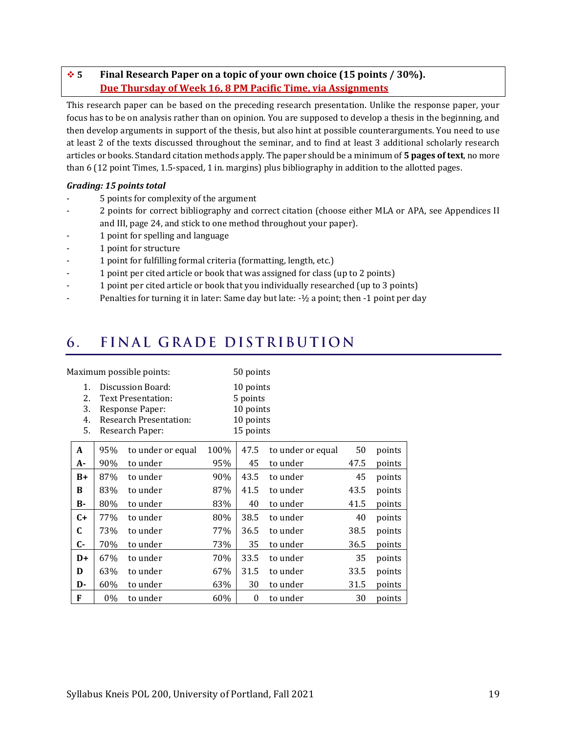#### ❖ **5 Final Research Paper on a topic of your own choice (15 points / 30%). Due Thursday of Week 16, 8 PM Pacific Time, via Assignments**

This research paper can be based on the preceding research presentation. Unlike the response paper, your focus has to be on analysis rather than on opinion. You are supposed to develop a thesis in the beginning, and then develop arguments in support of the thesis, but also hint at possible counterarguments. You need to use at least 2 of the texts discussed throughout the seminar, and to find at least 3 additional scholarly research articles or books. Standard citation methods apply. The paper should be a minimum of **5 pages of text**, no more than 6 (12 point Times, 1.5-spaced, 1 in. margins) plus bibliography in addition to the allotted pages.

#### *Grading: 15 points total*

- 5 points for complexity of the argument
- 2 points for correct bibliography and correct citation (choose either MLA or APA, see Appendices II and III, pag[e 24,](#page-23-0) and stick to one method throughout your paper).
- 1 point for spelling and language
- 1 point for structure
- 1 point for fulfilling formal criteria (formatting, length, etc.)
- 1 point per cited article or book that was assigned for class (up to 2 points)
- 1 point per cited article or book that you individually researched (up to 3 points)
- Penalties for turning it in later: Same day but late: -1/2 a point; then -1 point per day

#### <span id="page-18-0"></span>FINAL GRADE DISTRIBUTION 6.

| Maximum possible points: |                            |                                                                                                                       |                   | 50 points                                                    |                  |                   |      |        |
|--------------------------|----------------------------|-----------------------------------------------------------------------------------------------------------------------|-------------------|--------------------------------------------------------------|------------------|-------------------|------|--------|
|                          | 1.<br>2.<br>3.<br>4.<br>5. | Discussion Board:<br><b>Text Presentation:</b><br>Response Paper:<br><b>Research Presentation:</b><br>Research Paper: |                   | 10 points<br>5 points<br>10 points<br>10 points<br>15 points |                  |                   |      |        |
|                          | A                          | 95%                                                                                                                   | to under or equal | 100%                                                         | 47.5             | to under or equal | 50   | points |
|                          | A-                         | 90%                                                                                                                   | to under          | 95%                                                          | 45               | to under          | 47.5 | points |
|                          | $B+$                       | 87%                                                                                                                   | to under          | 90%                                                          | 43.5             | to under          | 45   | points |
|                          | B                          | 83%                                                                                                                   | to under          | 87%                                                          | 41.5             | to under          | 43.5 | points |
|                          | в-                         | 80%                                                                                                                   | to under          | 83%                                                          | 40               | to under          | 41.5 | points |
|                          | $C+$                       | 77%                                                                                                                   | to under          | 80%                                                          | 38.5             | to under          | 40   | points |
|                          | C                          | 73%                                                                                                                   | to under          | 77%                                                          | 36.5             | to under          | 38.5 | points |
|                          | C-                         | 70%                                                                                                                   | to under          | 73%                                                          | 35               | to under          | 36.5 | points |
|                          | $D+$                       | 67%                                                                                                                   | to under          | 70%                                                          | 33.5             | to under          | 35   | points |
|                          | D                          | 63%                                                                                                                   | to under          | 67%                                                          | 31.5             | to under          | 33.5 | points |
|                          | D-                         | 60%                                                                                                                   | to under          | 63%                                                          | 30               | to under          | 31.5 | points |
|                          | F                          | $0\%$                                                                                                                 | to under          | 60%                                                          | $\boldsymbol{0}$ | to under          | 30   | points |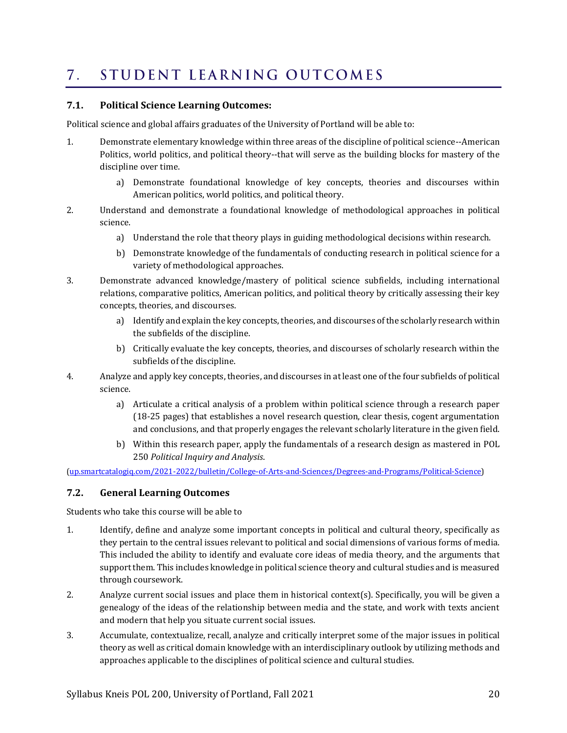#### <span id="page-19-0"></span>STUDENT LEARNING OUTCOMES  $7_{\odot}$

#### **7.1. Political Science Learning Outcomes:**

Political science and global affairs graduates of the University of Portland will be able to:

- 1. Demonstrate elementary knowledge within three areas of the discipline of political science--American Politics, world politics, and political theory--that will serve as the building blocks for mastery of the discipline over time.
	- a) Demonstrate foundational knowledge of key concepts, theories and discourses within American politics, world politics, and political theory.
- 2. Understand and demonstrate a foundational knowledge of methodological approaches in political science.
	- a) Understand the role that theory plays in guiding methodological decisions within research.
	- b) Demonstrate knowledge of the fundamentals of conducting research in political science for a variety of methodological approaches.
- 3. Demonstrate advanced knowledge/mastery of political science subfields, including international relations, comparative politics, American politics, and political theory by critically assessing their key concepts, theories, and discourses.
	- a) Identify and explain the key concepts, theories, and discourses of the scholarly research within the subfields of the discipline.
	- b) Critically evaluate the key concepts, theories, and discourses of scholarly research within the subfields of the discipline.
- 4. Analyze and apply key concepts, theories, and discourses in at least one of the four subfields of political science.
	- a) Articulate a critical analysis of a problem within political science through a research paper (18-25 pages) that establishes a novel research question, clear thesis, cogent argumentation and conclusions, and that properly engages the relevant scholarly literature in the given field.
	- b) Within this research paper, apply the fundamentals of a research design as mastered in [POL](http://up.smartcatalogiq.com/2021-2022/bulletin/Courses/POL-Political-Science/Introductory-Courses/POL-250)  [250](http://up.smartcatalogiq.com/2021-2022/bulletin/Courses/POL-Political-Science/Introductory-Courses/POL-250) *Political Inquiry and Analysis*.

[\(up.smartcatalogiq.com/2021-2022/bulletin/College-of-Arts-and-Sciences/Degrees-and-Programs/Political-Science\)](http://up.smartcatalogiq.com/2021-2022/bulletin/College-of-Arts-and-Sciences/Degrees-and-Programs/Political-Science)

#### **7.2. General Learning Outcomes**

Students who take this course will be able to

- 1. Identify, define and analyze some important concepts in political and cultural theory, specifically as they pertain to the central issues relevant to political and social dimensions of various forms of media. This included the ability to identify and evaluate core ideas of media theory, and the arguments that support them. This includes knowledge in political science theory and cultural studies and is measured through coursework.
- 2. Analyze current social issues and place them in historical context(s). Specifically, you will be given a genealogy of the ideas of the relationship between media and the state, and work with texts ancient and modern that help you situate current social issues.
- 3. Accumulate, contextualize, recall, analyze and critically interpret some of the major issues in political theory as well as critical domain knowledge with an interdisciplinary outlook by utilizing methods and approaches applicable to the disciplines of political science and cultural studies.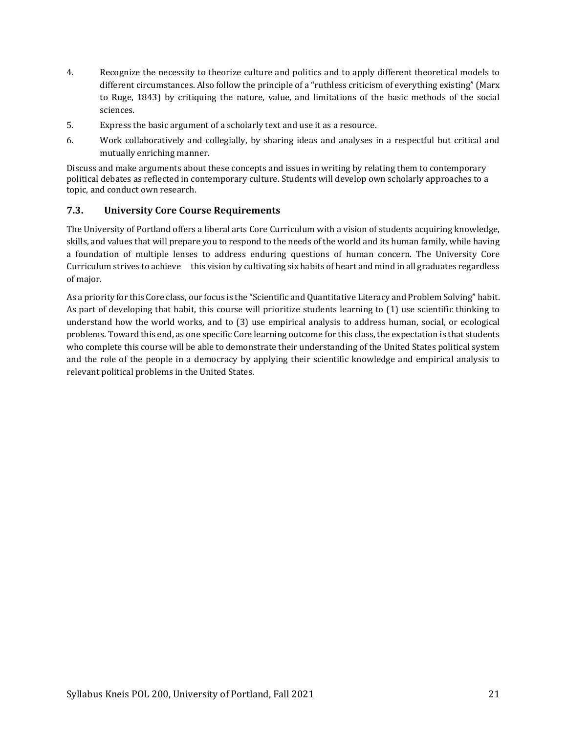- 4. Recognize the necessity to theorize culture and politics and to apply different theoretical models to different circumstances. Also follow the principle of a "ruthless criticism of everything existing" (Marx to Ruge, 1843) by critiquing the nature, value, and limitations of the basic methods of the social sciences.
- 5. Express the basic argument of a scholarly text and use it as a resource.
- 6. Work collaboratively and collegially, by sharing ideas and analyses in a respectful but critical and mutually enriching manner.

Discuss and make arguments about these concepts and issues in writing by relating them to contemporary political debates as reflected in contemporary culture. Students will develop own scholarly approaches to a topic, and conduct own research.

#### **7.3. University Core Course Requirements**

The University of Portland offers a liberal arts Core Curriculum with a vision of students acquiring knowledge, skills, and values that will prepare you to respond to the needs of the world and its human family, while having a foundation of multiple lenses to address enduring questions of human concern. The University Core Curriculum strives to achieve this vision by cultivating six habits of heart and mind in all graduates regardless of major.

As a priority for this Core class, our focus is the "Scientific and Quantitative Literacy and Problem Solving" habit. As part of developing that habit, this course will prioritize students learning to (1) use scientific thinking to understand how the world works, and to (3) use empirical analysis to address human, social, or ecological problems. Toward this end, as one specific Core learning outcome for this class, the expectation is that students who complete this course will be able to demonstrate their understanding of the United States political system and the role of the people in a democracy by applying their scientific knowledge and empirical analysis to relevant political problems in the United States.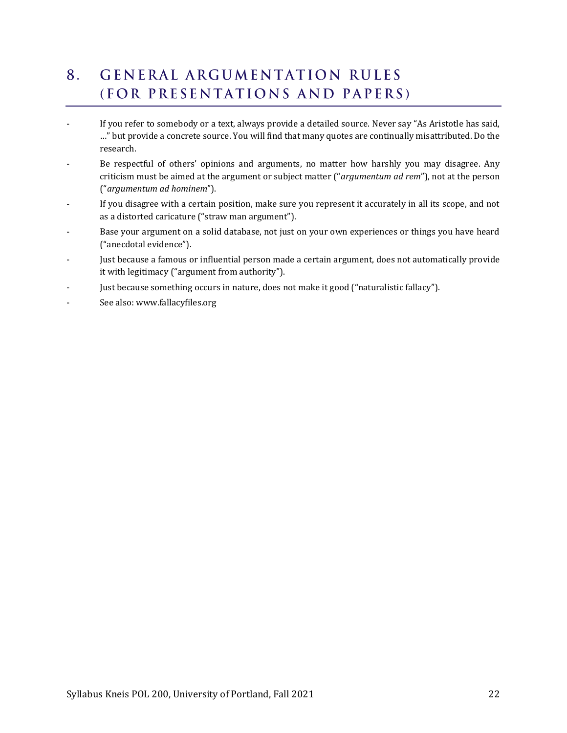#### <span id="page-21-0"></span>**GENERAL ARGUMENTATION RULES** 8. (FOR PRESENTATIONS AND PAPERS)

- If you refer to somebody or a text, always provide a detailed source. Never say "As Aristotle has said, …" but provide a concrete source. You will find that many quotes are continually misattributed. Do the research.
- Be respectful of others' opinions and arguments, no matter how harshly you may disagree. Any criticism must be aimed at the argument or subject matter ("*argumentum ad rem*"), not at the person ("*argumentum ad hominem*").
- If you disagree with a certain position, make sure you represent it accurately in all its scope, and not as a distorted caricature ("straw man argument").
- Base your argument on a solid database, not just on your own experiences or things you have heard ("anecdotal evidence").
- Just because a famous or influential person made a certain argument, does not automatically provide it with legitimacy ("argument from authority").
- Just because something occurs in nature, does not make it good ("naturalistic fallacy").
- See also: www.fallacyfiles.org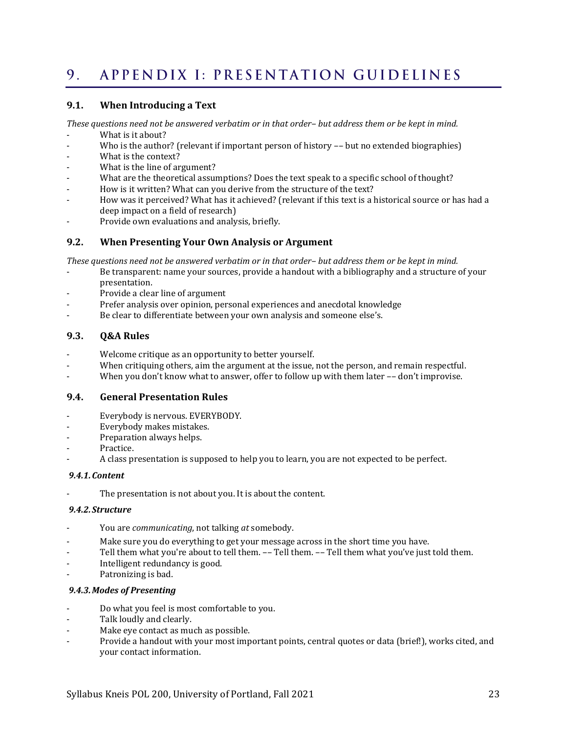#### <span id="page-22-0"></span>APPENDIX I: PRESENTATION GUIDELINES 9.

#### **9.1. When Introducing a Text**

*These questions need not be answered verbatim or in that order– but address them or be kept in mind.*

- What is it about?
- Who is the author? (relevant if important person of history -- but no extended biographies)
- What is the context?
- What is the line of argument?
- What are the theoretical assumptions? Does the text speak to a specific school of thought?
- How is it written? What can you derive from the structure of the text?
- How was it perceived? What has it achieved? (relevant if this text is a historical source or has had a deep impact on a field of research)
- Provide own evaluations and analysis, briefly.

#### **9.2. When Presenting Your Own Analysis or Argument**

*These questions need not be answered verbatim or in that order– but address them or be kept in mind.*

- Be transparent: name your sources, provide a handout with a bibliography and a structure of your presentation.
- Provide a clear line of argument
- Prefer analysis over opinion, personal experiences and anecdotal knowledge
- Be clear to differentiate between your own analysis and someone else's.

#### **9.3. Q&A Rules**

- Welcome critique as an opportunity to better yourself.
- When critiquing others, aim the argument at the issue, not the person, and remain respectful.
- When you don't know what to answer, offer to follow up with them later -- don't improvise.

#### **9.4. General Presentation Rules**

- Everybody is nervous. EVERYBODY.
- Everybody makes mistakes.
- Preparation always helps.
- Practice.
- A class presentation is supposed to help you to learn, you are not expected to be perfect.

#### *9.4.1.Content*

The presentation is not about you. It is about the content.

#### *9.4.2.Structure*

- You are *communicating*, not talking *at* somebody.
- Make sure you do everything to get your message across in the short time you have.
- Tell them what you're about to tell them. -- Tell them. -- Tell them what you've just told them.
- Intelligent redundancy is good.
- Patronizing is bad.

#### *9.4.3.Modes of Presenting*

- Do what you feel is most comfortable to you.
- Talk loudly and clearly.
- Make eye contact as much as possible.
- Provide a handout with your most important points, central quotes or data (brief!), works cited, and your contact information.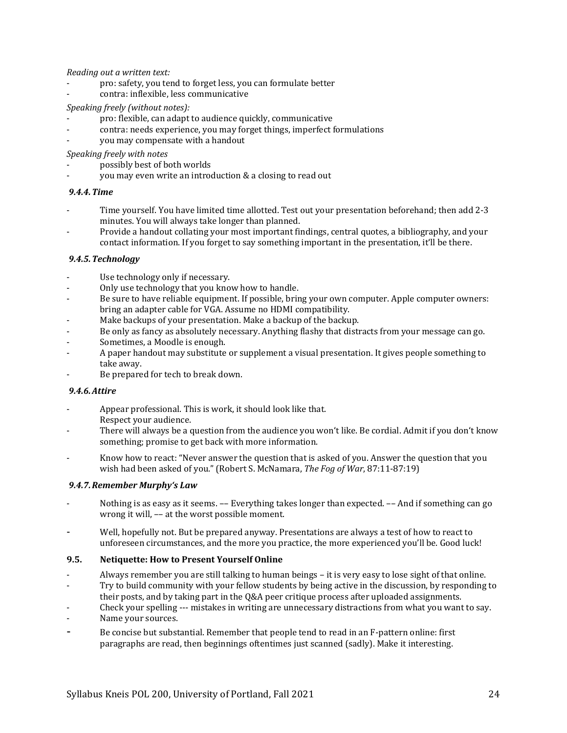*Reading out a written text:*

- pro: safety, you tend to forget less, you can formulate better
- contra: inflexible, less communicative

#### *Speaking freely (without notes):*

- pro: flexible, can adapt to audience quickly, communicative
- contra: needs experience, you may forget things, imperfect formulations
- you may compensate with a handout

*Speaking freely with notes*

- possibly best of both worlds
- you may even write an introduction & a closing to read out

#### *9.4.4.Time*

- Time yourself. You have limited time allotted. Test out your presentation beforehand; then add 2-3 minutes. You will always take longer than planned.
- Provide a handout collating your most important findings, central quotes, a bibliography, and your contact information. If you forget to say something important in the presentation, it'll be there.

#### *9.4.5.Technology*

- Use technology only if necessary.
- Only use technology that you know how to handle.
- Be sure to have reliable equipment. If possible, bring your own computer. Apple computer owners: bring an adapter cable for VGA. Assume no HDMI compatibility.
- Make backups of your presentation. Make a backup of the backup.
- Be only as fancy as absolutely necessary. Anything flashy that distracts from your message can go.
- Sometimes, a Moodle is enough.
- A paper handout may substitute or supplement a visual presentation. It gives people something to take away.
- Be prepared for tech to break down.

#### *9.4.6.Attire*

- Appear professional. This is work, it should look like that. Respect your audience.
- There will always be a question from the audience you won't like. Be cordial. Admit if you don't know something; promise to get back with more information.
- Know how to react: "Never answer the question that is asked of you. Answer the question that you wish had been asked of you." (Robert S. McNamara, *The Fog of War*, 87:11-87:19)

#### *9.4.7.Remember Murphy's Law*

- Nothing is as easy as it seems. -- Everything takes longer than expected. -- And if something can go wrong it will, –– at the worst possible moment.
- Well, hopefully not. But be prepared anyway. Presentations are always a test of how to react to unforeseen circumstances, and the more you practice, the more experienced you'll be. Good luck!

#### **9.5. Netiquette: How to Present Yourself Online**

- Always remember you are still talking to human beings it is very easy to lose sight of that online.
- Try to build community with your fellow students by being active in the discussion, by responding to
- their posts, and by taking part in the Q&A peer critique process after uploaded assignments.
- Check your spelling --- mistakes in writing are unnecessary distractions from what you want to say.
- Name your sources.
- <span id="page-23-0"></span>Be concise but substantial. Remember that people tend to read in an F-pattern online: first paragraphs are read, then beginnings oftentimes just scanned (sadly). Make it interesting.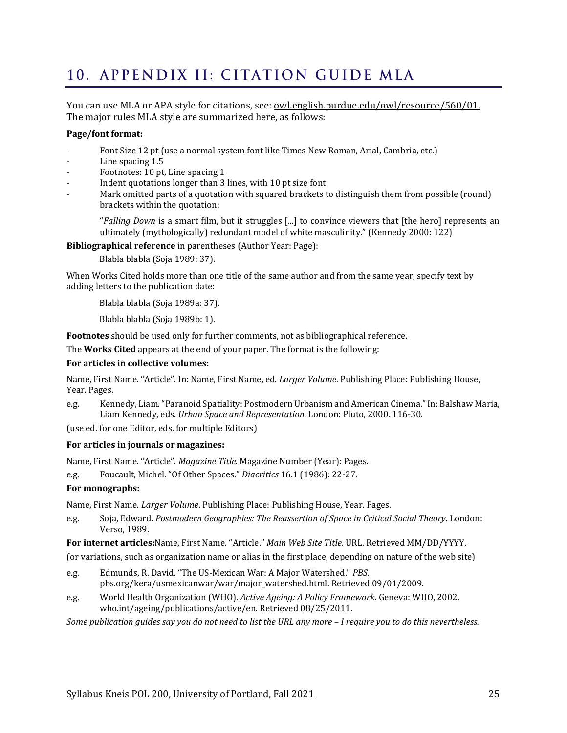# <span id="page-24-0"></span>10. APPENDIX II: CITATION GUIDE MLA

You can use MLA or APA style for citations, see: [owl.english.purdue.edu/owl/resource/560/01.](http://owl.english.purdue.edu/owl/resource/560/01) The major rules MLA style are summarized here, as follows:

#### **Page/font format:**

- Font Size 12 pt (use a normal system font like Times New Roman, Arial, Cambria, etc.)
- Line spacing 1.5
- Footnotes: 10 pt, Line spacing 1
- Indent quotations longer than 3 lines, with 10 pt size font
- Mark omitted parts of a quotation with squared brackets to distinguish them from possible (round) brackets within the quotation:

"*Falling Down* is a smart film, but it struggles [...] to convince viewers that [the hero] represents an ultimately (mythologically) redundant model of white masculinity." (Kennedy 2000: 122)

**Bibliographical reference** in parentheses (Author Year: Page):

Blabla blabla (Soja 1989: 37).

When Works Cited holds more than one title of the same author and from the same year, specify text by adding letters to the publication date:

Blabla blabla (Soja 1989a: 37).

Blabla blabla (Soja 1989b: 1).

**Footnotes** should be used only for further comments, not as bibliographical reference.

The **Works Cited** appears at the end of your paper. The format is the following:

#### **For articles in collective volumes:**

Name, First Name. "Article". In: Name, First Name, ed. *Larger Volume*. Publishing Place: Publishing House, Year. Pages.

e.g. Kennedy, Liam. "Paranoid Spatiality: Postmodern Urbanism and American Cinema." In: Balshaw Maria, Liam Kennedy, eds. *Urban Space and Representation.* London: Pluto, 2000. 116-30.

(use ed. for one Editor, eds. for multiple Editors)

#### **For articles in journals or magazines:**

Name, First Name. "Article". *Magazine Title*. Magazine Number (Year): Pages.

e.g. Foucault, Michel. "Of Other Spaces." *Diacritics* 16.1 (1986): 22-27.

#### **For monographs:**

Name, First Name. *Larger Volume*. Publishing Place: Publishing House, Year. Pages.

e.g. Soja, Edward. *Postmodern Geographies: The Reassertion of Space in Critical Social Theory*. London: Verso, 1989.

**For internet articles:**Name, First Name. "Article." *Main Web Site Title*. URL. Retrieved MM/DD/YYYY.

(or variations, such as organization name or alias in the first place, depending on nature of the web site)

- e.g. Edmunds, R. David. "The US-Mexican War: A Major Watershed." *PBS.*  pbs.org/kera/usmexicanwar/war/major\_watershed.html. Retrieved 09/01/2009.
- e.g. World Health Organization (WHO). *Active Ageing: A Policy Framework*. Geneva: WHO, 2002. who.int/ageing/publications/active/en. Retrieved 08/25/2011.

*Some publication guides say you do not need to list the URL any more – I require you to do this nevertheless.*